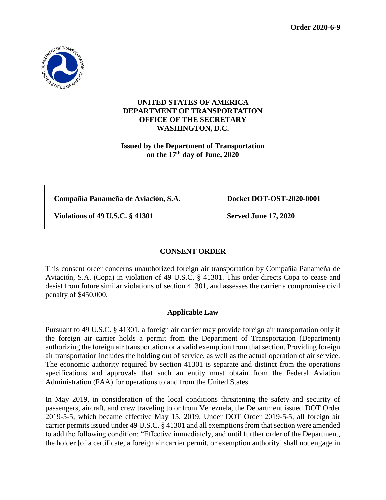

## **UNITED STATES OF AMERICA DEPARTMENT OF TRANSPORTATION OFFICE OF THE SECRETARY WASHINGTON, D.C.**

**Issued by the Department of Transportation on the 17th day of June, 2020**

**Compañía Panameña de Aviación, S.A. Docket DOT-OST-2020-0001**

**Violations of 49 U.S.C. § 41301 Served June 17, 2020**

# **CONSENT ORDER**

This consent order concerns unauthorized foreign air transportation by Compañía Panameña de Aviación, S.A. (Copa) in violation of 49 U.S.C. § 41301. This order directs Copa to cease and desist from future similar violations of section 41301, and assesses the carrier a compromise civil penalty of \$450,000.

## **Applicable Law**

Pursuant to 49 U.S.C. § 41301, a foreign air carrier may provide foreign air transportation only if the foreign air carrier holds a permit from the Department of Transportation (Department) authorizing the foreign air transportation or a valid exemption from that section. Providing foreign air transportation includes the holding out of service, as well as the actual operation of air service. The economic authority required by section 41301 is separate and distinct from the operations specifications and approvals that such an entity must obtain from the Federal Aviation Administration (FAA) for operations to and from the United States.

In May 2019, in consideration of the local conditions threatening the safety and security of passengers, aircraft, and crew traveling to or from Venezuela, the Department issued DOT Order 2019-5-5, which became effective May 15, 2019. Under DOT Order 2019-5-5, all foreign air carrier permits issued under 49 U.S.C. § 41301 and all exemptions from that section were amended to add the following condition: "Effective immediately, and until further order of the Department, the holder [of a certificate, a foreign air carrier permit, or exemption authority] shall not engage in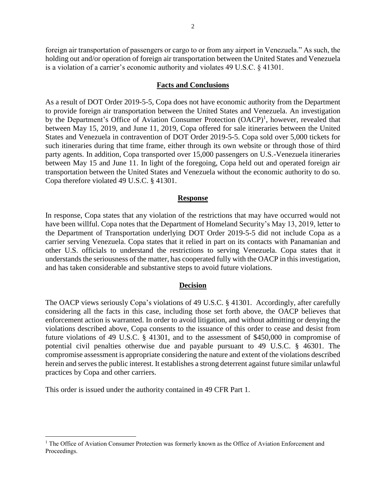foreign air transportation of passengers or cargo to or from any airport in Venezuela." As such, the holding out and/or operation of foreign air transportation between the United States and Venezuela is a violation of a carrier's economic authority and violates 49 U.S.C. § 41301.

#### **Facts and Conclusions**

As a result of DOT Order 2019-5-5, Copa does not have economic authority from the Department to provide foreign air transportation between the United States and Venezuela. An investigation by the Department's Office of Aviation Consumer Protection (OACP)<sup>1</sup>, however, revealed that between May 15, 2019, and June 11, 2019, Copa offered for sale itineraries between the United States and Venezuela in contravention of DOT Order 2019-5-5. Copa sold over 5,000 tickets for such itineraries during that time frame, either through its own website or through those of third party agents. In addition, Copa transported over 15,000 passengers on U.S.-Venezuela itineraries between May 15 and June 11. In light of the foregoing, Copa held out and operated foreign air transportation between the United States and Venezuela without the economic authority to do so. Copa therefore violated 49 U.S.C. § 41301.

#### **Response**

In response, Copa states that any violation of the restrictions that may have occurred would not have been willful. Copa notes that the Department of Homeland Security's May 13, 2019, letter to the Department of Transportation underlying DOT Order 2019-5-5 did not include Copa as a carrier serving Venezuela. Copa states that it relied in part on its contacts with Panamanian and other U.S. officials to understand the restrictions to serving Venezuela. Copa states that it understands the seriousness of the matter, has cooperated fully with the OACP in this investigation, and has taken considerable and substantive steps to avoid future violations.

### **Decision**

The OACP views seriously Copa's violations of 49 U.S.C. § 41301. Accordingly, after carefully considering all the facts in this case, including those set forth above, the OACP believes that enforcement action is warranted. In order to avoid litigation, and without admitting or denying the violations described above, Copa consents to the issuance of this order to cease and desist from future violations of 49 U.S.C. § 41301, and to the assessment of \$450,000 in compromise of potential civil penalties otherwise due and payable pursuant to 49 U.S.C. § 46301. The compromise assessment is appropriate considering the nature and extent of the violations described herein and serves the public interest. It establishes a strong deterrent against future similar unlawful practices by Copa and other carriers.

This order is issued under the authority contained in 49 CFR Part 1.

 $\overline{a}$ 

<sup>&</sup>lt;sup>1</sup> The Office of Aviation Consumer Protection was formerly known as the Office of Aviation Enforcement and Proceedings.